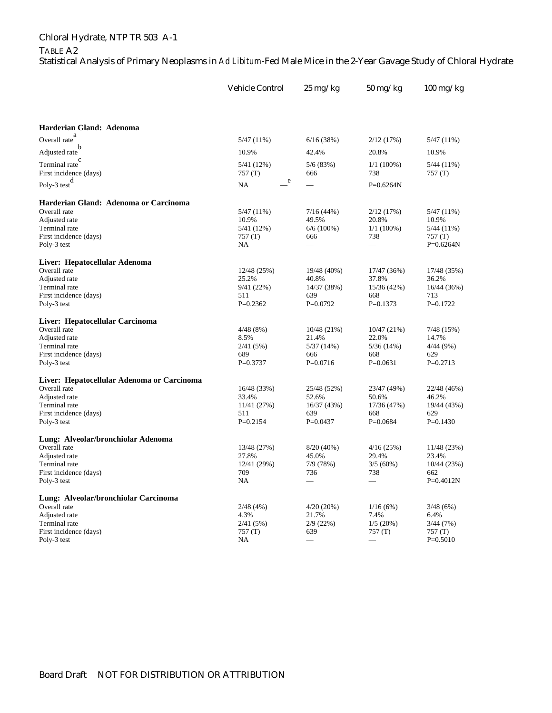## Chloral Hydrate, NTP TR 503 A-1

## TABLE A2

Statistical Analysis of Primary Neoplasms in *Ad Libitum*-Fed Male Mice in the 2-Year Gavage Study of Chloral Hydrate

|                                            | <b>Vehicle Control</b> | $25 \,\mathrm{mg/kg}$ | $50 \text{ mg/kg}$   | $100 \text{ mg/kg}$   |
|--------------------------------------------|------------------------|-----------------------|----------------------|-----------------------|
|                                            |                        |                       |                      |                       |
| Harderian Gland: Adenoma                   |                        |                       |                      |                       |
| Overall rate $^{a}$                        | $5/47(11\%)$           | 6/16(38%)             | 2/12(17%)            | $5/47(11\%)$          |
| Adjusted rate                              | 10.9%                  | 42.4%                 | 20.8%                | 10.9%                 |
| Terminal rate <sup>c</sup>                 | 5/41 (12%)             | 5/6(83%)              | $1/1(100\%)$         | $5/44(11\%)$          |
| First incidence (days)                     | 757 (T)                | 666                   | 738                  | 757(T)                |
| Poly-3 test $d$                            | e<br><b>NA</b>         |                       | $P=0.6264N$          |                       |
| Harderian Gland: Adenoma or Carcinoma      |                        |                       |                      |                       |
| Overall rate                               | $5/47(11\%)$           | 7/16(44%)             | 2/12(17%)            | $5/47(11\%)$          |
| Adjusted rate                              | 10.9%                  | 49.5%                 | 20.8%                | 10.9%                 |
| Terminal rate                              | 5/41 (12%)             | $6/6(100\%)$          | $1/1(100\%)$         | $5/44(11\%)$          |
| First incidence (days)<br>Poly-3 test      | 757(T)<br>NA           | 666                   | 738                  | 757(T)<br>$P=0.6264N$ |
|                                            |                        |                       |                      |                       |
| Liver: Hepatocellular Adenoma              |                        |                       |                      |                       |
| Overall rate<br>Adjusted rate              | 12/48 (25%)<br>25.2%   | 19/48 (40%)<br>40.8%  | 17/47 (36%)<br>37.8% | 17/48 (35%)<br>36.2%  |
| Terminal rate                              | 9/41(22%)              | 14/37 (38%)           | 15/36(42%)           | 16/44 (36%)           |
| First incidence (days)                     | 511                    | 639                   | 668                  | 713                   |
| Poly-3 test                                | $P=0.2362$             | $P=0.0792$            | $P=0.1373$           | $P=0.1722$            |
| Liver: Hepatocellular Carcinoma            |                        |                       |                      |                       |
| Overall rate                               | 4/48(8%)               | 10/48 (21%)           | 10/47 (21%)          | 7/48 (15%)            |
| Adjusted rate                              | 8.5%                   | 21.4%                 | 22.0%                | 14.7%                 |
| Terminal rate                              | 2/41(5%)               | 5/37(14%)             | 5/36 (14%)           | 4/44 (9%)             |
| First incidence (days)                     | 689                    | 666                   | 668                  | 629                   |
| Poly-3 test                                | $P=0.3737$             | $P=0.0716$            | $P=0.0631$           | $P=0.2713$            |
| Liver: Hepatocellular Adenoma or Carcinoma |                        |                       |                      |                       |
| Overall rate                               | 16/48 (33%)            | 25/48 (52%)           | 23/47 (49%)          | 22/48 (46%)           |
| Adjusted rate                              | 33.4%                  | 52.6%                 | 50.6%                | 46.2%                 |
| Terminal rate                              | 11/41 (27%)            | 16/37 (43%)           | 17/36 (47%)          | 19/44 (43%)           |
| First incidence (days)<br>Poly-3 test      | 511<br>$P=0.2154$      | 639<br>$P=0.0437$     | 668<br>$P=0.0684$    | 629<br>$P=0.1430$     |
|                                            |                        |                       |                      |                       |
| Lung: Alveolar/bronchiolar Adenoma         |                        |                       |                      |                       |
| Overall rate<br>Adjusted rate              | 13/48 (27%)<br>27.8%   | $8/20(40\%)$          | 4/16(25%)<br>29.4%   | 11/48 (23%)<br>23.4%  |
| Terminal rate                              | 12/41 (29%)            | 45.0%<br>7/9(78%)     | 3/5(60%)             | 10/44 (23%)           |
| First incidence (days)                     | 709                    | 736                   | 738                  | 662                   |
| Poly-3 test                                | NA                     |                       |                      | $P=0.4012N$           |
| Lung: Alveolar/bronchiolar Carcinoma       |                        |                       |                      |                       |
| Overall rate                               | 2/48(4%)               | $4/20(20\%)$          | 1/16(6%)             | 3/48(6%)              |
| Adjusted rate                              | 4.3%                   | 21.7%                 | 7.4%                 | 6.4%                  |
| Terminal rate                              | 2/41(5%)               | 2/9(22%)              | 1/5(20%)             | 3/44(7%)              |
| First incidence (days)                     | 757 (T)                | 639                   | 757 (T)              | 757(T)                |
| Poly-3 test                                | NA                     |                       |                      | $P=0.5010$            |